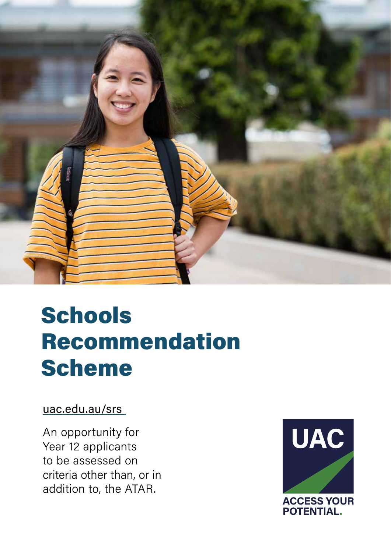

## **Schools** Recommendation Scheme

## [uac.edu.au/srs](https://www.uac.edu.au/current-applicants/schools-recommendation-schemes)

An opportunity for Year 12 applicants to be assessed on criteria other than, or in addition to, the ATAR.

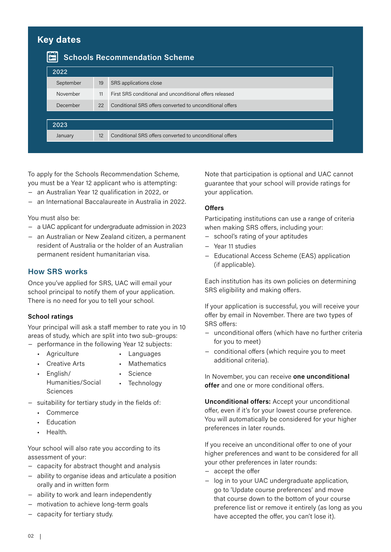| <b>Key dates</b><br>$\mathbb{H}$<br><b>Schools Recommendation Scheme</b> |    |                                                          |  |  |  |
|--------------------------------------------------------------------------|----|----------------------------------------------------------|--|--|--|
| 2022                                                                     |    |                                                          |  |  |  |
| September                                                                | 19 | SRS applications close                                   |  |  |  |
| November                                                                 | 11 | First SRS conditional and unconditional offers released  |  |  |  |
| December                                                                 | 22 | Conditional SRS offers converted to unconditional offers |  |  |  |
|                                                                          |    |                                                          |  |  |  |
| 2023                                                                     |    |                                                          |  |  |  |
| January                                                                  | 12 | Conditional SRS offers converted to unconditional offers |  |  |  |
|                                                                          |    |                                                          |  |  |  |

To apply for the Schools Recommendation Scheme, you must be a Year 12 applicant who is attempting: − an Australian Year 12 qualification in 2022, or

− an International Baccalaureate in Australia in 2022.

You must also be:

- − a UAC applicant for undergraduate admission in 2023
- − an Australian or New Zealand citizen, a permanent resident of Australia or the holder of an Australian permanent resident humanitarian visa.

#### **How SRS works**

Once you've applied for SRS, UAC will email your school principal to notify them of your application. There is no need for you to tell your school.

#### **School ratings**

Your principal will ask a staff member to rate you in 10 areas of study, which are split into two sub-groups: − performance in the following Year 12 subjects:

- Agriculture
- Languages
- Creative Arts
- **Mathematics** • Science
- English/ Humanities/Social Sciences
- **Technology**
- − suitability for tertiary study in the fields of:
	- Commerce
	- Education
	- Health.

Your school will also rate you according to its assessment of your:

- − capacity for abstract thought and analysis
- − ability to organise ideas and articulate a position orally and in written form
- − ability to work and learn independently
- − motivation to achieve long-term goals
- − capacity for tertiary study.

Note that participation is optional and UAC cannot guarantee that your school will provide ratings for your application.

#### **Offers**

Participating institutions can use a range of criteria when making SRS offers, including your:

- − school's rating of your aptitudes
- − Year 11 studies
- − Educational Access Scheme (EAS) application (if applicable).

Each institution has its own policies on determining SRS eligibility and making offers.

If your application is successful, you will receive your offer by email in November. There are two types of SRS offers:

- − unconditional offers (which have no further criteria for you to meet)
- − conditional offers (which require you to meet additional criteria).

In November, you can receive **one unconditional offer** and one or more conditional offers.

**Unconditional offers:** Accept your unconditional offer, even if it's for your lowest course preference. You will automatically be considered for your higher preferences in later rounds.

If you receive an unconditional offer to one of your higher preferences and want to be considered for all your other preferences in later rounds:

- − accept the offer
- − log in to your UAC undergraduate application, go to 'Update course preferences' and move that course down to the bottom of your course preference list or remove it entirely (as long as you have accepted the offer, you can't lose it).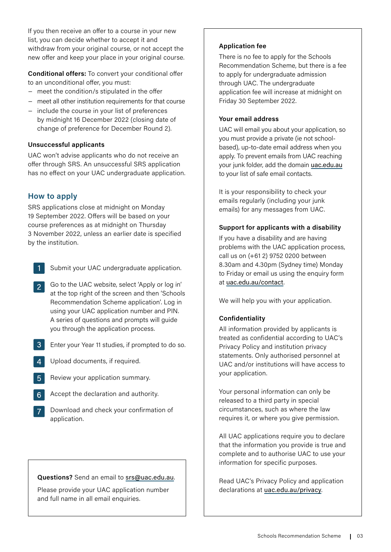If you then receive an offer to a course in your new list, you can decide whether to accept it and withdraw from your original course, or not accept the new offer and keep your place in your original course.

**Conditional offers:** To convert your conditional offer to an unconditional offer, you must:

- − meet the condition/s stipulated in the offer
- − meet all other institution requirements for that course
- − include the course in your list of preferences by midnight 16 December 2022 (closing date of change of preference for December Round 2).

#### **Unsuccessful applicants**

UAC won't advise applicants who do not receive an offer through SRS. An unsuccessful SRS application has no effect on your UAC undergraduate application.

#### **How to apply**

SRS applications close at midnight on Monday 19 September 2022. Offers will be based on your course preferences as at midnight on Thursday 3 November 2022, unless an earlier date is specified by the institution.

- Submit your UAC undergraduate application.
- Go to the UAC website, select 'Apply or log in' at the top right of the screen and then 'Schools Recommendation Scheme application'. Log in using your UAC application number and PIN. A series of questions and prompts will guide you through the application process.
- Enter your Year 11 studies, if prompted to do so.
- 4 Upload documents, if required.
- **Review your application summary.**
- Accept the declaration and authority.
- Download and check your confirmation of application.

#### **Questions?** Send an email to [srs@uac.edu.au](mailto:srs%40uac.edu.au?subject=).

Please provide your UAC application number and full name in all email enquiries.

#### **Application fee**

There is no fee to apply for the Schools Recommendation Scheme, but there is a fee to apply for undergraduate admission through UAC. The undergraduate application fee will increase at midnight on Friday 30 September 2022.

#### **Your email address**

UAC will email you about your application, so you must provide a private (ie not schoolbased), up-to-date email address when you apply. To prevent emails from UAC reaching your junk folder, add the domain [uac.edu.au](https://www.uac.edu.au/) to your list of safe email contacts.

It is your responsibility to check your emails regularly (including your junk emails) for any messages from UAC.

#### **Support for applicants with a disability**

If you have a disability and are having problems with the UAC application process, call us on (+61 2) 9752 0200 between 8.30am and 4.30pm (Sydney time) Monday to Friday or email us using the enquiry form at [uac.edu.au/contact](https://uac.edu.au/about/contact).

We will help you with your application.

#### **Confidentiality**

All information provided by applicants is treated as confidential according to UAC's Privacy Policy and institution privacy statements. Only authorised personnel at UAC and/or institutions will have access to your application.

Your personal information can only be released to a third party in special circumstances, such as where the law requires it, or where you give permission.

All UAC applications require you to declare that the information you provide is true and complete and to authorise UAC to use your information for specific purposes.

Read UAC's Privacy Policy and application declarations at [uac.edu.au/privacy](https://uac.edu.au/about/privacy-legal).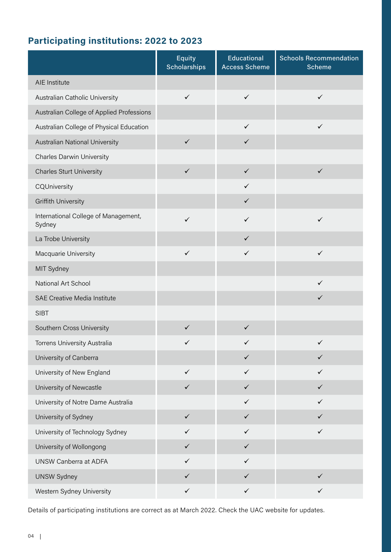### **Participating institutions: 2022 to 2023**

|                                                | <b>Equity</b><br><b>Scholarships</b> | <b>Educational</b><br><b>Access Scheme</b> | <b>Schools Recommendation</b><br><b>Scheme</b> |
|------------------------------------------------|--------------------------------------|--------------------------------------------|------------------------------------------------|
| AIE Institute                                  |                                      |                                            |                                                |
| Australian Catholic University                 | $\checkmark$                         | $\checkmark$                               | $\checkmark$                                   |
| Australian College of Applied Professions      |                                      |                                            |                                                |
| Australian College of Physical Education       |                                      | $\checkmark$                               | $\checkmark$                                   |
| Australian National University                 | $\checkmark$                         | $\checkmark$                               |                                                |
| <b>Charles Darwin University</b>               |                                      |                                            |                                                |
| <b>Charles Sturt University</b>                | $\checkmark$                         | $\checkmark$                               | $\checkmark$                                   |
| CQUniversity                                   |                                      | $\checkmark$                               |                                                |
| <b>Griffith University</b>                     |                                      | $\checkmark$                               |                                                |
| International College of Management,<br>Sydney | $\checkmark$                         | $\checkmark$                               | $\checkmark$                                   |
| La Trobe University                            |                                      | $\checkmark$                               |                                                |
| Macquarie University                           | $\checkmark$                         | $\checkmark$                               | $\checkmark$                                   |
| MIT Sydney                                     |                                      |                                            |                                                |
| National Art School                            |                                      |                                            | $\checkmark$                                   |
| <b>SAE Creative Media Institute</b>            |                                      |                                            | $\checkmark$                                   |
| <b>SIBT</b>                                    |                                      |                                            |                                                |
| Southern Cross University                      | $\checkmark$                         | $\checkmark$                               |                                                |
| Torrens University Australia                   | $\checkmark$                         | $\checkmark$                               | $\checkmark$                                   |
| University of Canberra                         |                                      | $\checkmark$                               | $\checkmark$                                   |
| University of New England                      | $\checkmark$                         | $\checkmark$                               | $\checkmark$                                   |
| University of Newcastle                        | $\checkmark$                         | $\checkmark$                               | $\checkmark$                                   |
| University of Notre Dame Australia             |                                      | $\checkmark$                               | $\checkmark$                                   |
| University of Sydney                           | $\checkmark$                         | $\checkmark$                               | $\checkmark$                                   |
| University of Technology Sydney                | $\checkmark$                         | $\checkmark$                               | $\checkmark$                                   |
| University of Wollongong                       | $\checkmark$                         | $\checkmark$                               |                                                |
| UNSW Canberra at ADFA                          | $\checkmark$                         | $\checkmark$                               |                                                |
| <b>UNSW Sydney</b>                             | $\checkmark$                         | $\checkmark$                               | $\checkmark$                                   |
| Western Sydney University                      | $\checkmark$                         | $\checkmark$                               | $\checkmark$                                   |

Details of participating institutions are correct as at March 2022. Check the UAC website for updates.